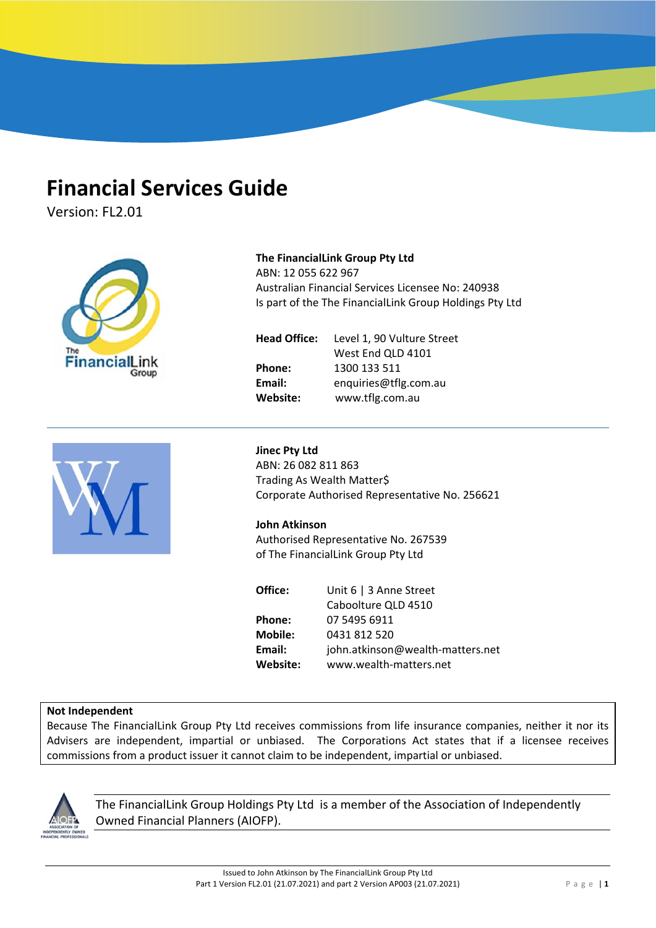# **Financial Services Guide**

Version: FL2.01



**FINANCIAL SERVICES GUIDE AND ADVISER PROFILE**

# **Not Independent**

Because The FinancialLink Group Pty Ltd receives commissions from life insurance companies, neither it nor its Advisers are independent, impartial or unbiased. The Corporations Act states that if a licensee receives commissions from a product issuer it cannot claim to be independent, impartial or unbiased.



The FinancialLink Group Holdings Pty Ltd is a member of the Association of Independently Owned Financial Planners (AIOFP).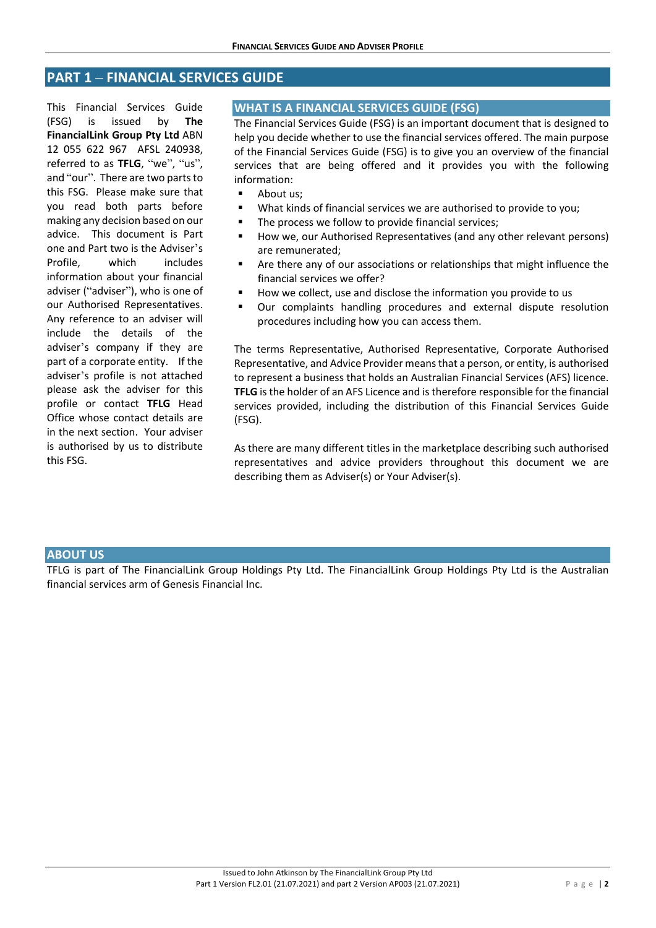# **PART 1 – FINANCIAL SERVICES GUIDE**

This Financial Services Guide (FSG) is issued by **The FinancialLink Group Pty Ltd** ABN 12 055 622 967 AFSL 240938, referred to as TFLG, "we", "us", and "our". There are two parts to this FSG. Please make sure that you read both parts before making any decision based on our advice. This document is Part one and Part two is the Adviser's Profile, which includes information about your financial adviser ("adviser"), who is one of our Authorised Representatives. Any reference to an adviser will include the details of the adviser's company if they are part of a corporate entity. If the adviser's profile is not attached please ask the adviser for this profile or contact **TFLG** Head Office whose contact details are in the next section. Your adviser is authorised by us to distribute this FSG.

# **WHAT IS A FINANCIAL SERVICES GUIDE (FSG)**

The Financial Services Guide (FSG) is an important document that is designed to help you decide whether to use the financial services offered. The main purpose of the Financial Services Guide (FSG) is to give you an overview of the financial services that are being offered and it provides you with the following information:

- **About us:**
- What kinds of financial services we are authorised to provide to you;
- The process we follow to provide financial services;
- How we, our Authorised Representatives (and any other relevant persons) are remunerated;
- Are there any of our associations or relationships that might influence the financial services we offer?
- How we collect, use and disclose the information you provide to us
- Our complaints handling procedures and external dispute resolution procedures including how you can access them.

The terms Representative, Authorised Representative, Corporate Authorised Representative, and Advice Provider means that a person, or entity, is authorised to represent a business that holds an Australian Financial Services (AFS) licence. **TFLG** is the holder of an AFS Licence and is therefore responsible for the financial services provided, including the distribution of this Financial Services Guide (FSG).

As there are many different titles in the marketplace describing such authorised representatives and advice providers throughout this document we are describing them as Adviser(s) or Your Adviser(s).

#### **ABOUT US**

TFLG is part of The FinancialLink Group Holdings Pty Ltd. The FinancialLink Group Holdings Pty Ltd is the Australian financial services arm of Genesis Financial Inc.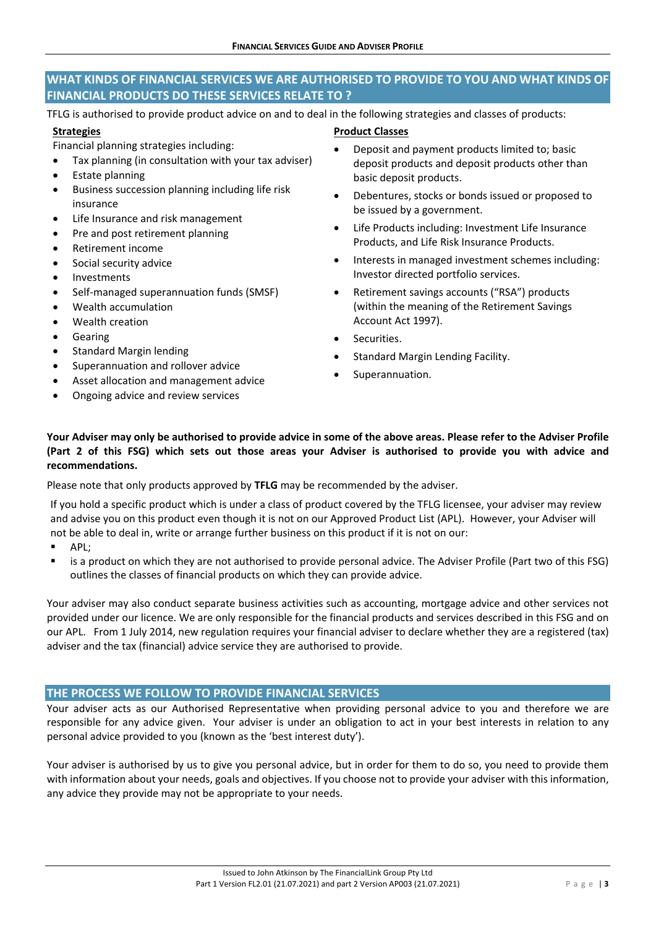# **WHAT KINDS OF FINANCIAL SERVICES WE ARE AUTHORISED TO PROVIDE TO YOU AND WHAT KINDS OF FINANCIAL PRODUCTS DO THESE SERVICES RELATE TO ?**

TFLG is authorised to provide product advice on and to deal in the following strategies and classes of products:

# **Strategies**

Financial planning strategies including:

- Tax planning (in consultation with your tax adviser)
- Estate planning
- Business succession planning including life risk insurance
- Life Insurance and risk management
- Pre and post retirement planning
- Retirement income
- Social security advice
- Investments
- Self‐managed superannuation funds (SMSF)
- Wealth accumulation
- Wealth creation
- Gearing
- Standard Margin lending
- Superannuation and rollover advice
- Asset allocation and management advice
- Ongoing advice and review services
- **Product Classes**
- Deposit and payment products limited to; basic deposit products and deposit products other than basic deposit products.
- Debentures, stocks or bonds issued or proposed to be issued by a government.
- Life Products including: Investment Life Insurance Products, and Life Risk Insurance Products.
- Interests in managed investment schemes including: Investor directed portfolio services.
- Retirement savings accounts ("RSA") products (within the meaning of the Retirement Savings Account Act 1997).
- Securities.
- Standard Margin Lending Facility.
- Superannuation.

# **Your Adviser may only be authorised to provide advice in some of the above areas. Please refer to the Adviser Profile (Part 2 of this FSG) which sets out those areas your Adviser is authorised to provide you with advice and recommendations.**

Please note that only products approved by **TFLG** may be recommended by the adviser.

If you hold a specific product which is under a class of product covered by the TFLG licensee, your adviser may review and advise you on this product even though it is not on our Approved Product List (APL). However, your Adviser will not be able to deal in, write or arrange further business on this product if it is not on our:

- **APL:**
- is a product on which they are not authorised to provide personal advice. The Adviser Profile (Part two of this FSG) outlines the classes of financial products on which they can provide advice.

Your adviser may also conduct separate business activities such as accounting, mortgage advice and other services not provided under our licence. We are only responsible for the financial products and services described in this FSG and on our APL. From 1 July 2014, new regulation requires your financial adviser to declare whether they are a registered (tax) adviser and the tax (financial) advice service they are authorised to provide.

# **THE PROCESS WE FOLLOW TO PROVIDE FINANCIAL SERVICES**

Your adviser acts as our Authorised Representative when providing personal advice to you and therefore we are responsible for any advice given. Your adviser is under an obligation to act in your best interests in relation to any personal advice provided to you (known as the 'best interest duty').

Your adviser is authorised by us to give you personal advice, but in order for them to do so, you need to provide them with information about your needs, goals and objectives. If you choose not to provide your adviser with this information, any advice they provide may not be appropriate to your needs.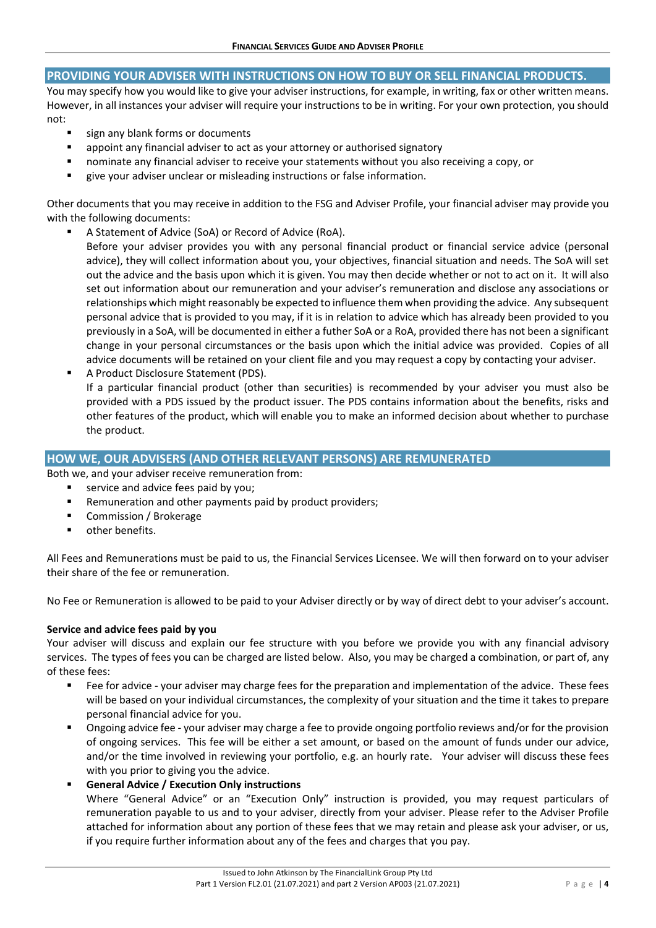# **PROVIDING YOUR ADVISER WITH INSTRUCTIONS ON HOW TO BUY OR SELL FINANCIAL PRODUCTS.**

You may specify how you would like to give your adviser instructions, for example, in writing, fax or other written means. However, in all instances your adviser will require your instructions to be in writing. For your own protection, you should not:

- sign any blank forms or documents
- appoint any financial adviser to act as your attorney or authorised signatory
- nominate any financial adviser to receive your statements without you also receiving a copy, or
- give your adviser unclear or misleading instructions or false information.

Other documents that you may receive in addition to the FSG and Adviser Profile, your financial adviser may provide you with the following documents:

- A Statement of Advice (SoA) or Record of Advice (RoA).
	- Before your adviser provides you with any personal financial product or financial service advice (personal advice), they will collect information about you, your objectives, financial situation and needs. The SoA will set out the advice and the basis upon which it is given. You may then decide whether or not to act on it. It will also set out information about our remuneration and your adviser's remuneration and disclose any associations or relationships which might reasonably be expected to influence them when providing the advice. Any subsequent personal advice that is provided to you may, if it is in relation to advice which has already been provided to you previously in a SoA, will be documented in either a futher SoA or a RoA, provided there has not been a significant change in your personal circumstances or the basis upon which the initial advice was provided. Copies of all advice documents will be retained on your client file and you may request a copy by contacting your adviser.
- A Product Disclosure Statement (PDS). If a particular financial product (other than securities) is recommended by your adviser you must also be provided with a PDS issued by the product issuer. The PDS contains information about the benefits, risks and other features of the product, which will enable you to make an informed decision about whether to purchase the product.

# **HOW WE, OUR ADVISERS (AND OTHER RELEVANT PERSONS) ARE REMUNERATED**

Both we, and your adviser receive remuneration from:

- service and advice fees paid by you;
- Remuneration and other payments paid by product providers;
- Commission / Brokerage
- other benefits.

All Fees and Remunerations must be paid to us, the Financial Services Licensee. We will then forward on to your adviser their share of the fee or remuneration.

No Fee or Remuneration is allowed to be paid to your Adviser directly or by way of direct debt to your adviser's account.

# **Service and advice fees paid by you**

Your adviser will discuss and explain our fee structure with you before we provide you with any financial advisory services. The types of fees you can be charged are listed below. Also, you may be charged a combination, or part of, any of these fees:

- Fee for advice your adviser may charge fees for the preparation and implementation of the advice. These fees will be based on your individual circumstances, the complexity of your situation and the time it takes to prepare personal financial advice for you.
- Ongoing advice fee your adviser may charge a fee to provide ongoing portfolio reviews and/or for the provision of ongoing services. This fee will be either a set amount, or based on the amount of funds under our advice, and/or the time involved in reviewing your portfolio, e.g. an hourly rate. Your adviser will discuss these fees with you prior to giving you the advice.
- **General Advice / Execution Only instructions**

Where "General Advice" or an "Execution Only" instruction is provided, you may request particulars of remuneration payable to us and to your adviser, directly from your adviser. Please refer to the Adviser Profile attached for information about any portion of these fees that we may retain and please ask your adviser, or us, if you require further information about any of the fees and charges that you pay.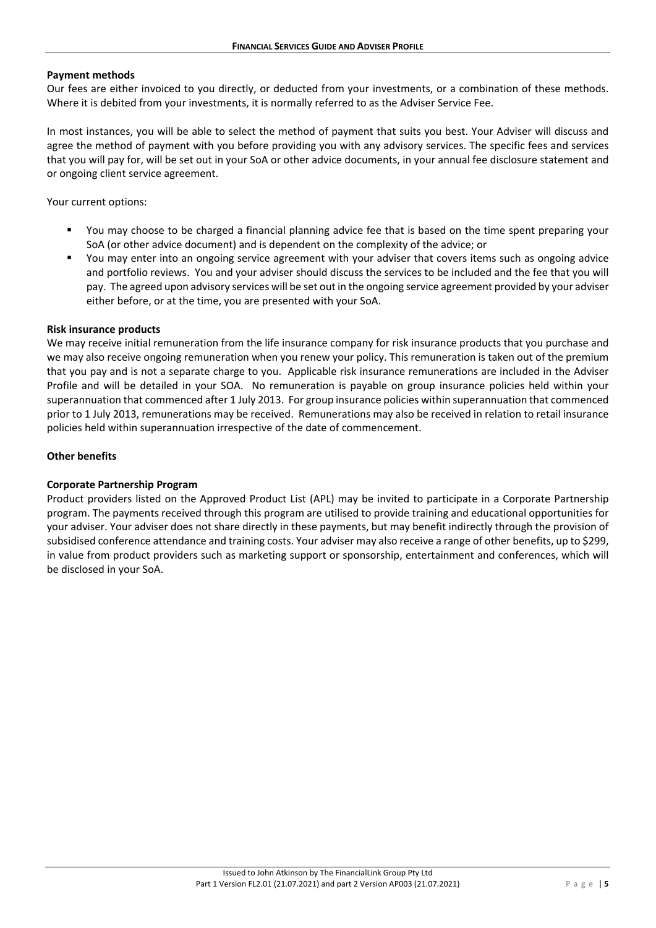#### **Payment methods**

Our fees are either invoiced to you directly, or deducted from your investments, or a combination of these methods. Where it is debited from your investments, it is normally referred to as the Adviser Service Fee.

In most instances, you will be able to select the method of payment that suits you best. Your Adviser will discuss and agree the method of payment with you before providing you with any advisory services. The specific fees and services that you will pay for, will be set out in your SoA or other advice documents, in your annual fee disclosure statement and or ongoing client service agreement.

Your current options:

- You may choose to be charged a financial planning advice fee that is based on the time spent preparing your SoA (or other advice document) and is dependent on the complexity of the advice; or
- You may enter into an ongoing service agreement with your adviser that covers items such as ongoing advice and portfolio reviews. You and your adviser should discuss the services to be included and the fee that you will pay. The agreed upon advisory services will be set out in the ongoing service agreement provided by your adviser either before, or at the time, you are presented with your SoA.

#### **Risk insurance products**

We may receive initial remuneration from the life insurance company for risk insurance products that you purchase and we may also receive ongoing remuneration when you renew your policy. This remuneration is taken out of the premium that you pay and is not a separate charge to you. Applicable risk insurance remunerations are included in the Adviser Profile and will be detailed in your SOA. No remuneration is payable on group insurance policies held within your superannuation that commenced after 1 July 2013. For group insurance policies within superannuation that commenced prior to 1 July 2013, remunerations may be received. Remunerations may also be received in relation to retail insurance policies held within superannuation irrespective of the date of commencement.

#### **Other benefits**

#### **Corporate Partnership Program**

Product providers listed on the Approved Product List (APL) may be invited to participate in a Corporate Partnership program. The payments received through this program are utilised to provide training and educational opportunities for your adviser. Your adviser does not share directly in these payments, but may benefit indirectly through the provision of subsidised conference attendance and training costs. Your adviser may also receive a range of other benefits, up to \$299, in value from product providers such as marketing support or sponsorship, entertainment and conferences, which will be disclosed in your SoA.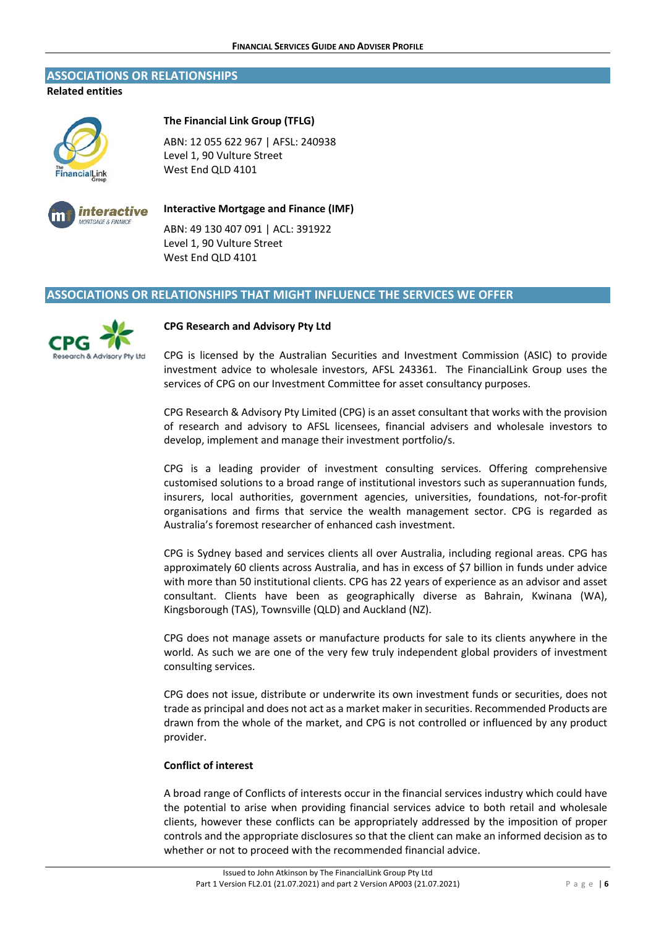#### **ASSOCIATIONS OR RELATIONSHIPS**

**Related entities** 



#### **The Financial Link Group (TFLG)**

ABN: 12 055 622 967 | AFSL: 240938 Level 1, 90 Vulture Street West End QLD 4101



# **Interactive Mortgage and Finance (IMF)**

ABN: 49 130 407 091 | ACL: 391922 Level 1, 90 Vulture Street West End QLD 4101

# **ASSOCIATIONS OR RELATIONSHIPS THAT MIGHT INFLUENCE THE SERVICES WE OFFER**



#### **CPG Research and Advisory Pty Ltd**

CPG is licensed by the Australian Securities and Investment Commission (ASIC) to provide investment advice to wholesale investors, AFSL 243361. The FinancialLink Group uses the services of CPG on our Investment Committee for asset consultancy purposes.

CPG Research & Advisory Pty Limited (CPG) is an asset consultant that works with the provision of research and advisory to AFSL licensees, financial advisers and wholesale investors to develop, implement and manage their investment portfolio/s.

CPG is a leading provider of investment consulting services. Offering comprehensive customised solutions to a broad range of institutional investors such as superannuation funds, insurers, local authorities, government agencies, universities, foundations, not-for-profit organisations and firms that service the wealth management sector. CPG is regarded as Australia's foremost researcher of enhanced cash investment.

CPG is Sydney based and services clients all over Australia, including regional areas. CPG has approximately 60 clients across Australia, and has in excess of \$7 billion in funds under advice with more than 50 institutional clients. CPG has 22 years of experience as an advisor and asset consultant. Clients have been as geographically diverse as Bahrain, Kwinana (WA), Kingsborough (TAS), Townsville (QLD) and Auckland (NZ).

CPG does not manage assets or manufacture products for sale to its clients anywhere in the world. As such we are one of the very few truly independent global providers of investment consulting services.

CPG does not issue, distribute or underwrite its own investment funds or securities, does not trade as principal and does not act as a market maker in securities. Recommended Products are drawn from the whole of the market, and CPG is not controlled or influenced by any product provider.

# **Conflict of interest**

A broad range of Conflicts of interests occur in the financial services industry which could have the potential to arise when providing financial services advice to both retail and wholesale clients, however these conflicts can be appropriately addressed by the imposition of proper controls and the appropriate disclosures so that the client can make an informed decision as to whether or not to proceed with the recommended financial advice.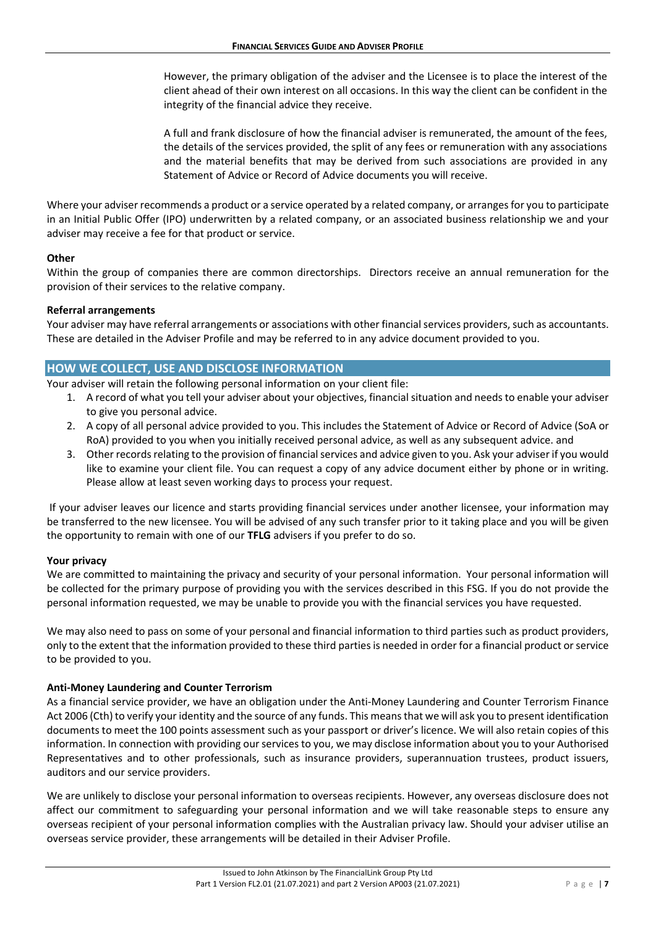However, the primary obligation of the adviser and the Licensee is to place the interest of the client ahead of their own interest on all occasions. In this way the client can be confident in the integrity of the financial advice they receive.

A full and frank disclosure of how the financial adviser is remunerated, the amount of the fees, the details of the services provided, the split of any fees or remuneration with any associations and the material benefits that may be derived from such associations are provided in any Statement of Advice or Record of Advice documents you will receive.

Where your adviser recommends a product or a service operated by a related company, or arranges for you to participate in an Initial Public Offer (IPO) underwritten by a related company, or an associated business relationship we and your adviser may receive a fee for that product or service.

#### **Other**

Within the group of companies there are common directorships. Directors receive an annual remuneration for the provision of their services to the relative company.

#### **Referral arrangements**

Your adviser may have referral arrangements or associations with other financial services providers, such as accountants. These are detailed in the Adviser Profile and may be referred to in any advice document provided to you.

# **HOW WE COLLECT, USE AND DISCLOSE INFORMATION**

Your adviser will retain the following personal information on your client file:

- 1. A record of what you tell your adviser about your objectives, financial situation and needs to enable your adviser to give you personal advice.
- 2. A copy of all personal advice provided to you. This includes the Statement of Advice or Record of Advice (SoA or RoA) provided to you when you initially received personal advice, as well as any subsequent advice. and
- 3. Other records relating to the provision of financial services and advice given to you. Ask your adviser if you would like to examine your client file. You can request a copy of any advice document either by phone or in writing. Please allow at least seven working days to process your request.

 If your adviser leaves our licence and starts providing financial services under another licensee, your information may be transferred to the new licensee. You will be advised of any such transfer prior to it taking place and you will be given the opportunity to remain with one of our **TFLG** advisers if you prefer to do so.

# **Your privacy**

We are committed to maintaining the privacy and security of your personal information. Your personal information will be collected for the primary purpose of providing you with the services described in this FSG. If you do not provide the personal information requested, we may be unable to provide you with the financial services you have requested.

We may also need to pass on some of your personal and financial information to third parties such as product providers, only to the extent that the information provided to these third parties is needed in order for a financial product or service to be provided to you.

#### **Anti‐Money Laundering and Counter Terrorism**

As a financial service provider, we have an obligation under the Anti‐Money Laundering and Counter Terrorism Finance Act 2006 (Cth) to verify your identity and the source of any funds. This means that we will ask you to present identification documents to meet the 100 points assessment such as your passport or driver's licence. We will also retain copies of this information. In connection with providing our services to you, we may disclose information about you to your Authorised Representatives and to other professionals, such as insurance providers, superannuation trustees, product issuers, auditors and our service providers.

We are unlikely to disclose your personal information to overseas recipients. However, any overseas disclosure does not affect our commitment to safeguarding your personal information and we will take reasonable steps to ensure any overseas recipient of your personal information complies with the Australian privacy law. Should your adviser utilise an overseas service provider, these arrangements will be detailed in their Adviser Profile.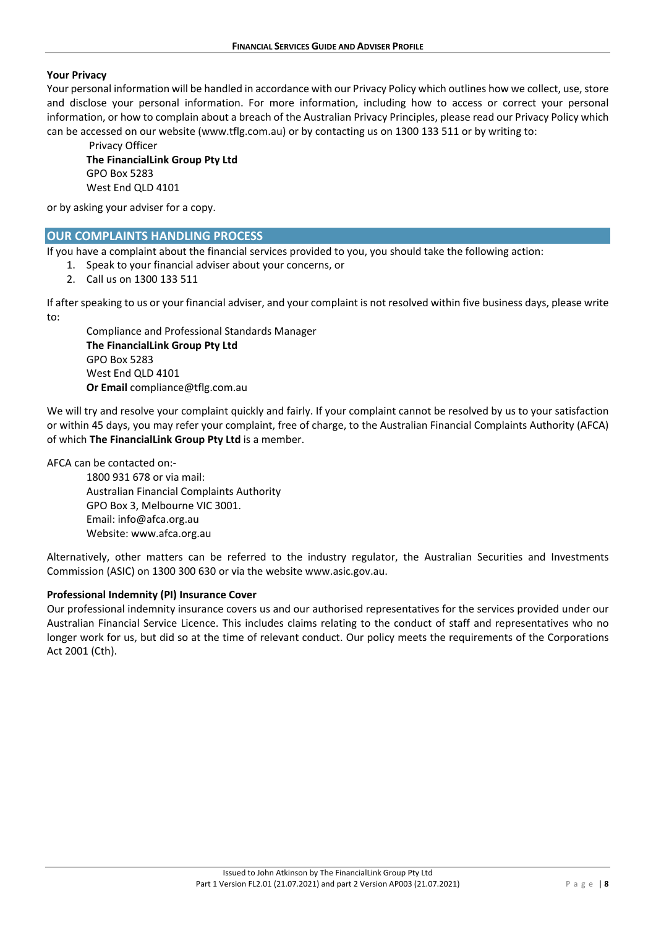#### **Your Privacy**

Your personal information will be handled in accordance with our Privacy Policy which outlines how we collect, use, store and disclose your personal information. For more information, including how to access or correct your personal information, or how to complain about a breach of the Australian Privacy Principles, please read our Privacy Policy which can be accessed on our website (www.tflg.com.au) or by contacting us on 1300 133 511 or by writing to:

 Privacy Officer **The FinancialLink Group Pty Ltd**  GPO Box 5283 West End QLD 4101

or by asking your adviser for a copy.

# **OUR COMPLAINTS HANDLING PROCESS**

If you have a complaint about the financial services provided to you, you should take the following action:

- 1. Speak to your financial adviser about your concerns, or
- 2. Call us on 1300 133 511

If after speaking to us or your financial adviser, and your complaint is not resolved within five business days, please write to:

Compliance and Professional Standards Manager **The FinancialLink Group Pty Ltd**  GPO Box 5283 West End QLD 4101 **Or Email** compliance@tflg.com.au

We will try and resolve your complaint quickly and fairly. If your complaint cannot be resolved by us to your satisfaction or within 45 days, you may refer your complaint, free of charge, to the Australian Financial Complaints Authority (AFCA) of which **The FinancialLink Group Pty Ltd** is a member.

AFCA can be contacted on:‐

1800 931 678 or via mail: Australian Financial Complaints Authority GPO Box 3, Melbourne VIC 3001. Email: info@afca.org.au Website: www.afca.org.au

Alternatively, other matters can be referred to the industry regulator, the Australian Securities and Investments Commission (ASIC) on 1300 300 630 or via the website www.asic.gov.au.

#### **Professional Indemnity (PI) Insurance Cover**

Our professional indemnity insurance covers us and our authorised representatives for the services provided under our Australian Financial Service Licence. This includes claims relating to the conduct of staff and representatives who no longer work for us, but did so at the time of relevant conduct. Our policy meets the requirements of the Corporations Act 2001 (Cth).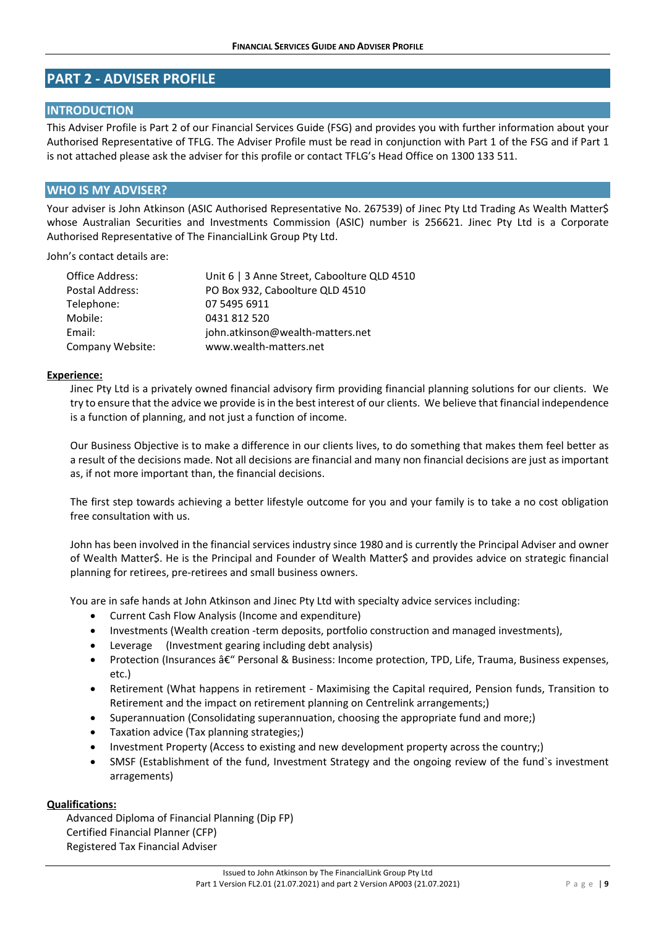# **PART 2 ‐ ADVISER PROFILE**

# **INTRODUCTION**

This Adviser Profile is Part 2 of our Financial Services Guide (FSG) and provides you with further information about your Authorised Representative of TFLG. The Adviser Profile must be read in conjunction with Part 1 of the FSG and if Part 1 is not attached please ask the adviser for this profile or contact TFLG's Head Office on 1300 133 511.

# **WHO IS MY ADVISER?**

Your adviser is John Atkinson (ASIC Authorised Representative No. 267539) of Jinec Pty Ltd Trading As Wealth Matter\$ whose Australian Securities and Investments Commission (ASIC) number is 256621. Jinec Pty Ltd is a Corporate Authorised Representative of The FinancialLink Group Pty Ltd.

John's contact details are:

| Office Address:  | Unit 6   3 Anne Street, Caboolture QLD 4510 |  |
|------------------|---------------------------------------------|--|
| Postal Address:  | PO Box 932, Caboolture QLD 4510             |  |
| Telephone:       | 07 5495 6911                                |  |
| Mobile:          | 0431 812 520                                |  |
| Email:           | john.atkinson@wealth-matters.net            |  |
| Company Website: | www.wealth-matters.net                      |  |

#### **Experience:**

Jinec Pty Ltd is a privately owned financial advisory firm providing financial planning solutions for our clients. We try to ensure that the advice we provide is in the best interest of our clients. We believe that financial independence is a function of planning, and not just a function of income.

Our Business Objective is to make a difference in our clients lives, to do something that makes them feel better as a result of the decisions made. Not all decisions are financial and many non financial decisions are just as important as, if not more important than, the financial decisions.

The first step towards achieving a better lifestyle outcome for you and your family is to take a no cost obligation free consultation with us.

John has been involved in the financial services industry since 1980 and is currently the Principal Adviser and owner of Wealth Matter\$. He is the Principal and Founder of Wealth Matter\$ and provides advice on strategic financial planning for retirees, pre‐retirees and small business owners.

You are in safe hands at John Atkinson and Jinec Pty Ltd with specialty advice services including:

- Current Cash Flow Analysis (Income and expenditure)
- Investments (Wealth creation ‐term deposits, portfolio construction and managed investments),
- Leverage (Investment gearing including debt analysis)
- Protection (Insurances â€" Personal & Business: Income protection, TPD, Life, Trauma, Business expenses, etc.)
- Retirement (What happens in retirement ‐ Maximising the Capital required, Pension funds, Transition to Retirement and the impact on retirement planning on Centrelink arrangements;)
- Superannuation (Consolidating superannuation, choosing the appropriate fund and more;)
- Taxation advice (Tax planning strategies;)
- Investment Property (Access to existing and new development property across the country;)
- SMSF (Establishment of the fund, Investment Strategy and the ongoing review of the fund`s investment arragements)

# **Qualifications:**

Advanced Diploma of Financial Planning (Dip FP) Certified Financial Planner (CFP) Registered Tax Financial Adviser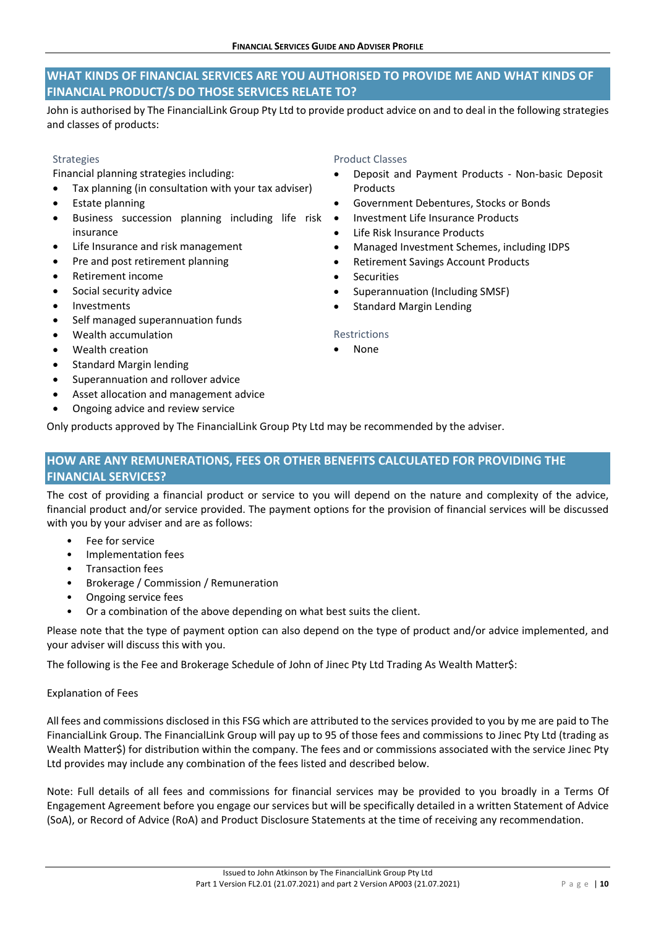# **WHAT KINDS OF FINANCIAL SERVICES ARE YOU AUTHORISED TO PROVIDE ME AND WHAT KINDS OF FINANCIAL PRODUCT/S DO THOSE SERVICES RELATE TO?**

John is authorised by The FinancialLink Group Pty Ltd to provide product advice on and to deal in the following strategies and classes of products:

# Strategies

Financial planning strategies including:

- Tax planning (in consultation with your tax adviser)
- Estate planning
- Business succession planning including life risk insurance
- Life Insurance and risk management
- Pre and post retirement planning
- Retirement income
- Social security advice
- Investments
- Self managed superannuation funds
- Wealth accumulation
- Wealth creation
- Standard Margin lending
- Superannuation and rollover advice
- Asset allocation and management advice
- Ongoing advice and review service

Product Classes

- Deposit and Payment Products ‐ Non‐basic Deposit Products
- Government Debentures, Stocks or Bonds
- Investment Life Insurance Products
- Life Risk Insurance Products
- Managed Investment Schemes, including IDPS
- Retirement Savings Account Products
- **Securities**
- Superannuation (Including SMSF)
- Standard Margin Lending

#### Restrictions

None

Only products approved by The FinancialLink Group Pty Ltd may be recommended by the adviser.

# **HOW ARE ANY REMUNERATIONS, FEES OR OTHER BENEFITS CALCULATED FOR PROVIDING THE FINANCIAL SERVICES?**

The cost of providing a financial product or service to you will depend on the nature and complexity of the advice, financial product and/or service provided. The payment options for the provision of financial services will be discussed with you by your adviser and are as follows:

- Fee for service
- Implementation fees
- Transaction fees
- Brokerage / Commission / Remuneration
- Ongoing service fees
- Or a combination of the above depending on what best suits the client.

Please note that the type of payment option can also depend on the type of product and/or advice implemented, and your adviser will discuss this with you.

The following is the Fee and Brokerage Schedule of John of Jinec Pty Ltd Trading As Wealth Matter\$:

# Explanation of Fees

All fees and commissions disclosed in this FSG which are attributed to the services provided to you by me are paid to The FinancialLink Group. The FinancialLink Group will pay up to 95 of those fees and commissions to Jinec Pty Ltd (trading as Wealth Matter\$) for distribution within the company. The fees and or commissions associated with the service Jinec Pty Ltd provides may include any combination of the fees listed and described below.

Note: Full details of all fees and commissions for financial services may be provided to you broadly in a Terms Of Engagement Agreement before you engage our services but will be specifically detailed in a written Statement of Advice (SoA), or Record of Advice (RoA) and Product Disclosure Statements at the time of receiving any recommendation.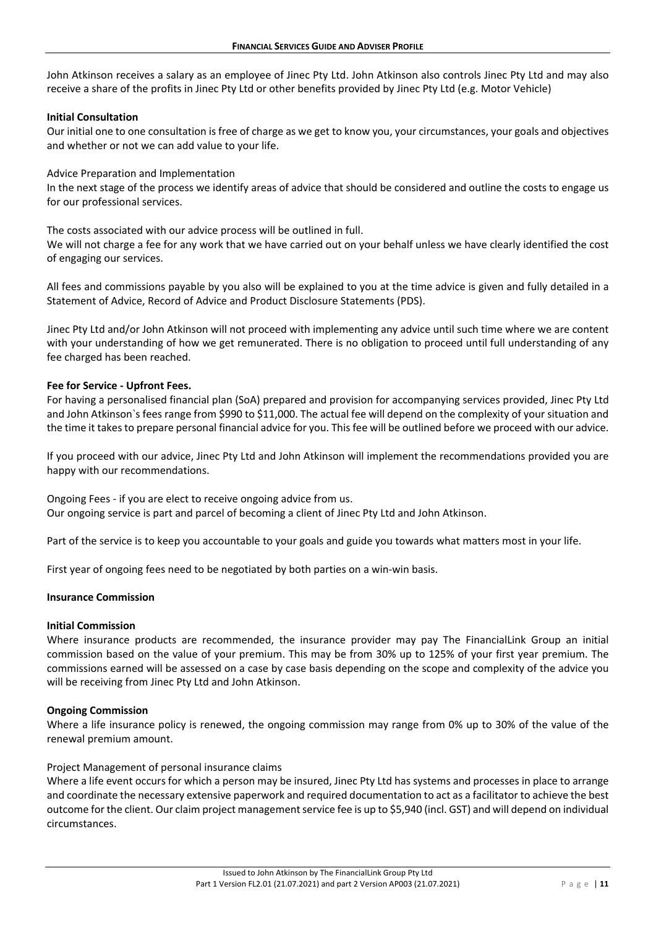John Atkinson receives a salary as an employee of Jinec Pty Ltd. John Atkinson also controls Jinec Pty Ltd and may also receive a share of the profits in Jinec Pty Ltd or other benefits provided by Jinec Pty Ltd (e.g. Motor Vehicle)

#### **Initial Consultation**

Our initial one to one consultation is free of charge as we get to know you, your circumstances, your goals and objectives and whether or not we can add value to your life.

#### Advice Preparation and Implementation

In the next stage of the process we identify areas of advice that should be considered and outline the costs to engage us for our professional services.

The costs associated with our advice process will be outlined in full.

We will not charge a fee for any work that we have carried out on your behalf unless we have clearly identified the cost of engaging our services.

All fees and commissions payable by you also will be explained to you at the time advice is given and fully detailed in a Statement of Advice, Record of Advice and Product Disclosure Statements (PDS).

Jinec Pty Ltd and/or John Atkinson will not proceed with implementing any advice until such time where we are content with your understanding of how we get remunerated. There is no obligation to proceed until full understanding of any fee charged has been reached.

#### **Fee for Service ‐ Upfront Fees.**

For having a personalised financial plan (SoA) prepared and provision for accompanying services provided, Jinec Pty Ltd and John Atkinson`s fees range from \$990 to \$11,000. The actual fee will depend on the complexity of your situation and the time it takes to prepare personal financial advice for you. This fee will be outlined before we proceed with our advice.

If you proceed with our advice, Jinec Pty Ltd and John Atkinson will implement the recommendations provided you are happy with our recommendations.

Ongoing Fees ‐ if you are elect to receive ongoing advice from us. Our ongoing service is part and parcel of becoming a client of Jinec Pty Ltd and John Atkinson.

Part of the service is to keep you accountable to your goals and guide you towards what matters most in your life.

First year of ongoing fees need to be negotiated by both parties on a win‐win basis.

#### **Insurance Commission**

#### **Initial Commission**

Where insurance products are recommended, the insurance provider may pay The FinancialLink Group an initial commission based on the value of your premium. This may be from 30% up to 125% of your first year premium. The commissions earned will be assessed on a case by case basis depending on the scope and complexity of the advice you will be receiving from Jinec Pty Ltd and John Atkinson.

#### **Ongoing Commission**

Where a life insurance policy is renewed, the ongoing commission may range from 0% up to 30% of the value of the renewal premium amount.

#### Project Management of personal insurance claims

Where a life event occurs for which a person may be insured, Jinec Pty Ltd has systems and processes in place to arrange and coordinate the necessary extensive paperwork and required documentation to act as a facilitator to achieve the best outcome for the client. Our claim project management service fee is up to \$5,940 (incl. GST) and will depend on individual circumstances.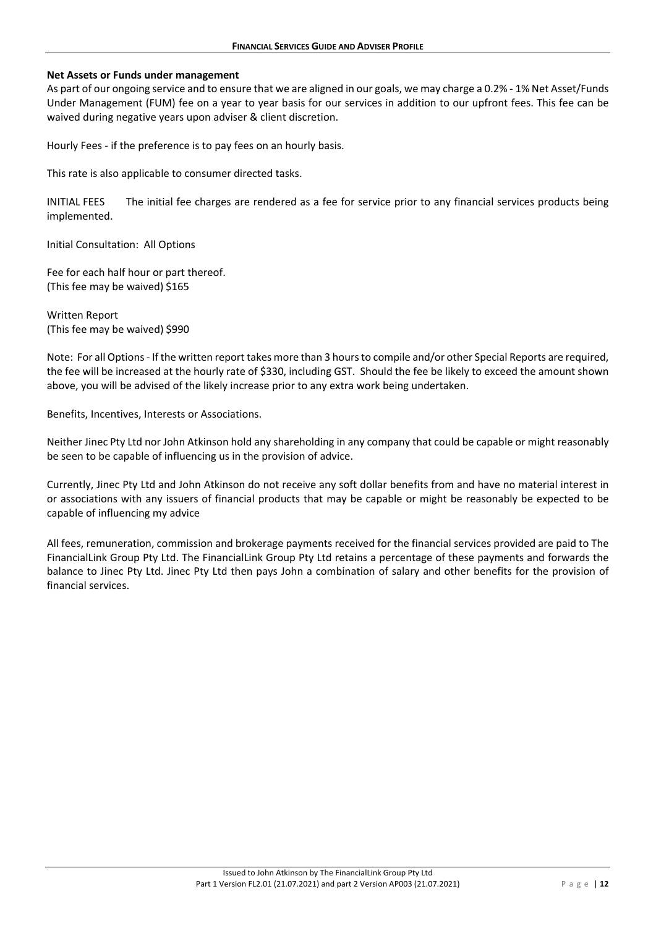#### **Net Assets or Funds under management**

As part of our ongoing service and to ensure that we are aligned in our goals, we may charge a 0.2% ‐ 1% Net Asset/Funds Under Management (FUM) fee on a year to year basis for our services in addition to our upfront fees. This fee can be waived during negative years upon adviser & client discretion.

Hourly Fees ‐ if the preference is to pay fees on an hourly basis.

This rate is also applicable to consumer directed tasks.

INITIAL FEES The initial fee charges are rendered as a fee for service prior to any financial services products being implemented.

Initial Consultation: All Options

Fee for each half hour or part thereof. (This fee may be waived) \$165

Written Report (This fee may be waived) \$990

Note: For all Options ‐ If the written report takes more than 3 hours to compile and/or other Special Reports are required, the fee will be increased at the hourly rate of \$330, including GST. Should the fee be likely to exceed the amount shown above, you will be advised of the likely increase prior to any extra work being undertaken.

Benefits, Incentives, Interests or Associations.

Neither Jinec Pty Ltd nor John Atkinson hold any shareholding in any company that could be capable or might reasonably be seen to be capable of influencing us in the provision of advice.

Currently, Jinec Pty Ltd and John Atkinson do not receive any soft dollar benefits from and have no material interest in or associations with any issuers of financial products that may be capable or might be reasonably be expected to be capable of influencing my advice

All fees, remuneration, commission and brokerage payments received for the financial services provided are paid to The FinancialLink Group Pty Ltd. The FinancialLink Group Pty Ltd retains a percentage of these payments and forwards the balance to Jinec Pty Ltd. Jinec Pty Ltd then pays John a combination of salary and other benefits for the provision of financial services.